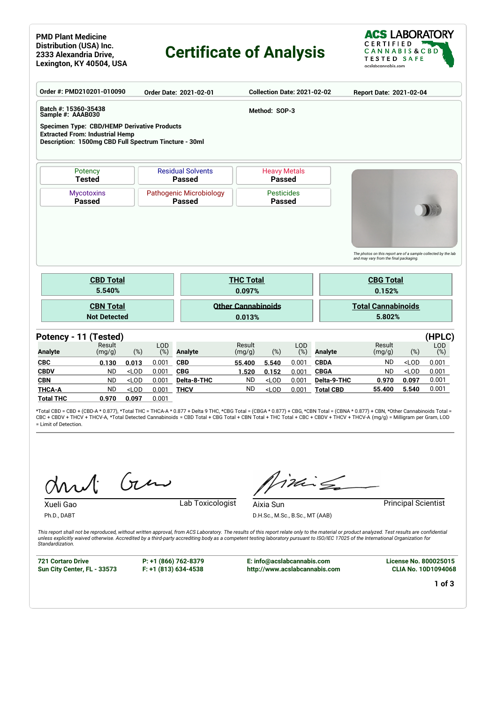#### **PMD Plant Medicine Distribution (USA) Inc. 2333 Alexandria Drive, Lexington, KY 40504, USA**

# **Certificate of Analysis**



| Batch #: 15360-35438<br>Method: SOP-3<br>Sample #: AAAB030<br><b>Specimen Type: CBD/HEMP Derivative Products</b><br><b>Extracted From: Industrial Hemp</b><br>Description: 1500mg CBD Full Spectrum Tincture - 30ml<br><b>Residual Solvents</b><br><b>Heavy Metals</b><br>Potency<br><b>Passed</b><br><b>Tested</b><br><b>Passed</b><br>Pathogenic Microbiology<br><b>Pesticides</b><br><b>Mycotoxins</b><br><b>Passed</b><br><b>Passed</b><br><b>Passed</b><br>The photos on this report are of a sample collected by the lab<br>and may vary from the final packaging.<br><b>CBD Total</b><br><b>THC Total</b><br><b>CBG Total</b><br>5.540%<br>0.097%<br>0.152%<br><b>Other Cannabinoids</b><br><b>Total Cannabinoids</b><br><b>CBN Total</b><br><b>Not Detected</b><br>5.802%<br>0.013%<br>LOD<br><b>LOD</b><br>Result<br>Result<br>Result<br><b>Analyte</b><br>(%)<br>(%)<br>(%)<br>(%)<br>$(\%)$<br>(mg/g)<br><b>Analyte</b><br>(mg/g)<br><b>Analyte</b><br>(mg/g)<br><b>CBC</b><br>0.001<br><b>ND</b><br>0.013<br><b>CBD</b><br>0.001<br><b>CBDA</b><br>$<$ LOD<br>0.130<br>55.400<br>5.540 |                |       | Report Date: 2021-02-04 |             |       | <b>Collection Date: 2021-02-02</b> |           | Order Date: 2021-02-01 |  |       |         |           | Order #: PMD210201-010090 |  |  |  |  |
|----------------------------------------------------------------------------------------------------------------------------------------------------------------------------------------------------------------------------------------------------------------------------------------------------------------------------------------------------------------------------------------------------------------------------------------------------------------------------------------------------------------------------------------------------------------------------------------------------------------------------------------------------------------------------------------------------------------------------------------------------------------------------------------------------------------------------------------------------------------------------------------------------------------------------------------------------------------------------------------------------------------------------------------------------------------------------------------------------|----------------|-------|-------------------------|-------------|-------|------------------------------------|-----------|------------------------|--|-------|---------|-----------|---------------------------|--|--|--|--|
|                                                                                                                                                                                                                                                                                                                                                                                                                                                                                                                                                                                                                                                                                                                                                                                                                                                                                                                                                                                                                                                                                                    |                |       |                         |             |       |                                    |           |                        |  |       |         |           |                           |  |  |  |  |
| Potency - 11 (Tested)                                                                                                                                                                                                                                                                                                                                                                                                                                                                                                                                                                                                                                                                                                                                                                                                                                                                                                                                                                                                                                                                              |                |       |                         |             |       |                                    |           |                        |  |       |         |           |                           |  |  |  |  |
|                                                                                                                                                                                                                                                                                                                                                                                                                                                                                                                                                                                                                                                                                                                                                                                                                                                                                                                                                                                                                                                                                                    |                |       |                         |             |       |                                    |           |                        |  |       |         |           |                           |  |  |  |  |
|                                                                                                                                                                                                                                                                                                                                                                                                                                                                                                                                                                                                                                                                                                                                                                                                                                                                                                                                                                                                                                                                                                    |                |       |                         |             |       |                                    |           |                        |  |       |         |           |                           |  |  |  |  |
|                                                                                                                                                                                                                                                                                                                                                                                                                                                                                                                                                                                                                                                                                                                                                                                                                                                                                                                                                                                                                                                                                                    |                |       |                         |             |       |                                    |           |                        |  |       |         |           |                           |  |  |  |  |
|                                                                                                                                                                                                                                                                                                                                                                                                                                                                                                                                                                                                                                                                                                                                                                                                                                                                                                                                                                                                                                                                                                    |                |       |                         |             |       |                                    |           |                        |  |       |         |           |                           |  |  |  |  |
|                                                                                                                                                                                                                                                                                                                                                                                                                                                                                                                                                                                                                                                                                                                                                                                                                                                                                                                                                                                                                                                                                                    |                |       |                         |             |       |                                    |           |                        |  |       |         |           |                           |  |  |  |  |
|                                                                                                                                                                                                                                                                                                                                                                                                                                                                                                                                                                                                                                                                                                                                                                                                                                                                                                                                                                                                                                                                                                    | (HPLC)         |       |                         |             |       |                                    |           |                        |  |       |         |           |                           |  |  |  |  |
|                                                                                                                                                                                                                                                                                                                                                                                                                                                                                                                                                                                                                                                                                                                                                                                                                                                                                                                                                                                                                                                                                                    | LOD            |       |                         |             |       |                                    |           |                        |  |       |         |           |                           |  |  |  |  |
|                                                                                                                                                                                                                                                                                                                                                                                                                                                                                                                                                                                                                                                                                                                                                                                                                                                                                                                                                                                                                                                                                                    | (%)            |       |                         |             |       |                                    |           |                        |  |       |         |           |                           |  |  |  |  |
| <b>ND</b><br><b>CBDV</b><br><b>ND</b><br>$<$ LOD<br><b>CBG</b><br>$<$ LOD<br>0.001<br>0.001<br><b>CBGA</b><br>1.520<br>0.152                                                                                                                                                                                                                                                                                                                                                                                                                                                                                                                                                                                                                                                                                                                                                                                                                                                                                                                                                                       | 0.001          |       |                         |             |       |                                    |           |                        |  |       |         |           |                           |  |  |  |  |
| <b>ND</b>                                                                                                                                                                                                                                                                                                                                                                                                                                                                                                                                                                                                                                                                                                                                                                                                                                                                                                                                                                                                                                                                                          | 0.001          |       |                         |             |       |                                    |           |                        |  |       |         |           |                           |  |  |  |  |
| <b>ND</b><br><b>THCA-A</b><br>$<$ LOD<br><b>THCV</b><br>$<$ LOD<br>55.400<br>5.540<br>0.001<br>0.001<br><b>Total CBD</b><br><b>Total THC</b><br>0.970<br>0.097<br>0.001                                                                                                                                                                                                                                                                                                                                                                                                                                                                                                                                                                                                                                                                                                                                                                                                                                                                                                                            | 0.001<br>0.001 | 0.097 | 0.970                   | Delta-9-THC | 0.001 | $<$ LOD                            | <b>ND</b> | Delta-8-THC            |  | 0.001 | $<$ LOD | <b>ND</b> | <b>CBN</b>                |  |  |  |  |

\*Total CBD = CBD + (CBD-A \* 0.877), \*Total THC = THCA-A \* 0.877 + Delta 9 THC, \*CBG Total = (CBGA \* 0.877) + CBG, \*CBN Total = (CBNA \* 0.877) + CBN, \*Other Cannabinoids Total = CBC + CBDV + THCV + THCV-A, \*Total Detected Cannabinoids = CBD Total + CBG Total + CBN Total + THC Total + CBC + CBDV + THCV + THCV-A (mg/g) = Milligram per Gram, LOD = Limit of Detection.

Gen

Xueli Gao Lab Toxicologist

inis

**Aixia Sun Principal Scientist** D.H.Sc., M.Sc., B.Sc., MT (AAB)

*This report shall not be reproduced, without written approval, from ACS Laboratory. The results of this report relate only to the material or product analyzed. Test results are confidential unless explicitly waived otherwise. Accredited by a third-party accrediting body as a competent testing laboratory pursuant to ISO/IEC 17025 of the International Organization for Standardization.*

**721 Cortaro Drive Sun City Center, FL - 33573**

Ph.D., DABT

**P: +1 (866) 762-8379 F: +1 (813) 634-4538**

**E: info@acslabcannabis.com http://www.acslabcannabis.com** **License No. 800025015 CLIA No. 10D1094068**

**1 of 3**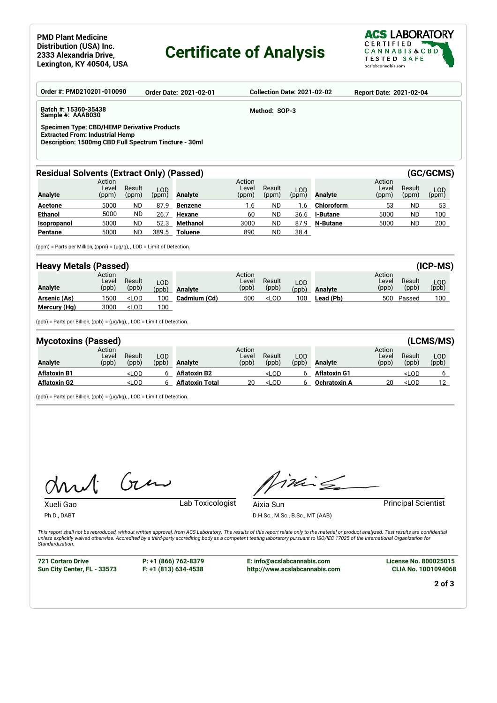### **Certificate of Analysis**



| Order #: PMD210201-010090                                                                                                                             |                          |                 |                     | <b>Order Date: 2021-02-01</b> |                          | <b>Collection Date: 2021-02-02</b> |              |                 | <b>Report Date: 2021-02-04</b> |                 |                     |  |
|-------------------------------------------------------------------------------------------------------------------------------------------------------|--------------------------|-----------------|---------------------|-------------------------------|--------------------------|------------------------------------|--------------|-----------------|--------------------------------|-----------------|---------------------|--|
| Batch #: 15360-35438<br>Sample #: AAAB030                                                                                                             |                          |                 |                     |                               |                          | Method: SOP-3                      |              |                 |                                |                 |                     |  |
| <b>Specimen Type: CBD/HEMP Derivative Products</b><br><b>Extracted From: Industrial Hemp</b><br>Description: 1500mg CBD Full Spectrum Tincture - 30ml |                          |                 |                     |                               |                          |                                    |              |                 |                                |                 |                     |  |
| <b>Residual Solvents (Extract Only) (Passed)</b>                                                                                                      |                          |                 |                     |                               |                          |                                    |              |                 |                                |                 | (GC/GCMS)           |  |
| <b>Analyte</b>                                                                                                                                        | Action<br>Level<br>(ppm) | Result<br>(ppm) | <b>LOD</b><br>(ppm) | <b>Analyte</b>                | Action<br>Level<br>(ppm) | Result<br>(ppm)                    | LOD<br>(ppm) | <b>Analyte</b>  | Action<br>Level<br>(ppm)       | Result<br>(ppm) | <b>LOD</b><br>(ppm) |  |
| <b>Acetone</b>                                                                                                                                        | 5000                     | <b>ND</b>       | 87.9                | <b>Benzene</b>                | 1.6                      | ND                                 | 1.6          | Chloroform      | 53                             | <b>ND</b>       | 53                  |  |
| <b>Ethanol</b>                                                                                                                                        | 5000                     | <b>ND</b>       | 26.7                | Hexane                        | 60                       | <b>ND</b>                          | 36.6         | <b>I-Butane</b> | 5000                           | <b>ND</b>       | 100                 |  |
| Isopropanol                                                                                                                                           | 5000                     | <b>ND</b>       | 52.3                | Methanol                      | 3000                     | ND.                                | 87.9         | <b>N-Butane</b> | 5000                           | <b>ND</b>       | 200                 |  |
| Pentane                                                                                                                                               | 5000                     | <b>ND</b>       | 389.5               | <b>Toluene</b>                | 890                      | ND.                                | 38.4         |                 |                                |                 |                     |  |
| $(ppm)$ = Parts per Million, $(ppm)$ = $(\mu q/q)$ , LOD = Limit of Detection.                                                                        |                          |                 |                     |                               |                          |                                    |              |                 |                                |                 |                     |  |
| <b>Heavy Metals (Passed)</b>                                                                                                                          |                          |                 |                     |                               |                          |                                    |              |                 |                                |                 | (ICP-MS)            |  |
|                                                                                                                                                       | Action<br>Level          | Result          | חח ו                |                               | Action<br>Level          | Result                             | חח ו         |                 | Action<br>Level                | Result          | I OD.               |  |

| Analyte      | Level<br>(ppb) | Result<br>(ppb)                                                                                                                                                   | LOD.<br>(ppb) | <b>Analyte</b> | Level<br>(ppb) | Result<br>(ppb)                                                                          | LOD<br>(ppb) | <b>Analyte</b> | Level<br>(ppb) | Result<br>(ppb) | LOD<br>(ppb) |
|--------------|----------------|-------------------------------------------------------------------------------------------------------------------------------------------------------------------|---------------|----------------|----------------|------------------------------------------------------------------------------------------|--------------|----------------|----------------|-----------------|--------------|
| Arsenic (As) | 500            | <lod< th=""><th>100</th><th>Cadmium (Cd)</th><th>500</th><th><lod< th=""><th>100</th><th>Lead (Pb)</th><th>500</th><th>Passed</th><th>100</th></lod<></th></lod<> | 100           | Cadmium (Cd)   | 500            | <lod< th=""><th>100</th><th>Lead (Pb)</th><th>500</th><th>Passed</th><th>100</th></lod<> | 100          | Lead (Pb)      | 500            | Passed          | 100          |
| Mercury (Hg) | 3000           | <lod< th=""><th>100</th><th></th><th></th><th></th><th></th><th></th><th></th><th></th><th></th></lod<>                                                           | 100           |                |                |                                                                                          |              |                |                |                 |              |

(ppb) = Parts per Billion, (ppb) = (µg/kg), , LOD = Limit of Detection.

| <b>Mycotoxins (Passed)</b> |                          |                                                                                                                                                                                            |              |                        |                          |                                                                                                            |              |                     | (LCMS/MS)                |                                |              |
|----------------------------|--------------------------|--------------------------------------------------------------------------------------------------------------------------------------------------------------------------------------------|--------------|------------------------|--------------------------|------------------------------------------------------------------------------------------------------------|--------------|---------------------|--------------------------|--------------------------------|--------------|
| <b>Analyte</b>             | Action<br>Level<br>(ppb) | Result<br>(ppb)                                                                                                                                                                            | LOD<br>(ppb) | Analyte                | Action<br>Level<br>(ppb) | Result<br>(ppb)                                                                                            | LOD<br>(ppb) | <b>Analyte</b>      | Action<br>Level<br>(ppb) | Result<br>(ppb)                | LOD<br>(ppb) |
| <b>Aflatoxin B1</b>        |                          | <lod< th=""><th>ь</th><th><b>Aflatoxin B2</b></th><th></th><th><lod< th=""><th></th><th><b>Aflatoxin G1</b></th><th></th><th><lod< th=""><th></th></lod<></th></lod<></th></lod<>          | ь            | <b>Aflatoxin B2</b>    |                          | <lod< th=""><th></th><th><b>Aflatoxin G1</b></th><th></th><th><lod< th=""><th></th></lod<></th></lod<>     |              | <b>Aflatoxin G1</b> |                          | <lod< th=""><th></th></lod<>   |              |
| <b>Aflatoxin G2</b>        |                          | <lod< th=""><th>h</th><th><b>Aflatoxin Total</b></th><th>20</th><th><lod< th=""><th></th><th><b>Ochratoxin A</b></th><th>20</th><th><lod< th=""><th>12</th></lod<></th></lod<></th></lod<> | h            | <b>Aflatoxin Total</b> | 20                       | <lod< th=""><th></th><th><b>Ochratoxin A</b></th><th>20</th><th><lod< th=""><th>12</th></lod<></th></lod<> |              | <b>Ochratoxin A</b> | 20                       | <lod< th=""><th>12</th></lod<> | 12           |

(ppb) = Parts per Billion, (ppb) = (µg/kg), , LOD = Limit of Detection.

 $Gu$  $\Lambda$ 

Xueli Gao Lab Toxicologist

imis

Aixia Sun **Principal Scientist** D.H.Sc., M.Sc., B.Sc., MT (AAB)

*This report shall not be reproduced, without written approval, from ACS Laboratory. The results of this report relate only to the material or product analyzed. Test results are confidential unless explicitly waived otherwise. Accredited by a third-party accrediting body as a competent testing laboratory pursuant to ISO/IEC 17025 of the International Organization for Standardization.*

**721 Cortaro Drive Sun City Center, FL - 33573**

Ph.D., DABT

**P: +1 (866) 762-8379 F: +1 (813) 634-4538**

**E: info@acslabcannabis.com http://www.acslabcannabis.com** **License No. 800025015 CLIA No. 10D1094068**

**2 of 3**